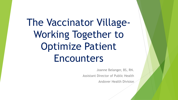# The Vaccinator Village-Working Together to Optimize Patient Encounters

Joanne Belanger, BS, RN.

Assistant Director of Public Health

Andover Health Division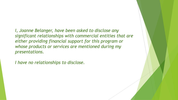*I, Joanne Belanger, have been asked to disclose any significant relationships with commercial entities that are either providing financial support for this program or whose products or services are mentioned during my presentations.*

*I have no relationships to disclose.*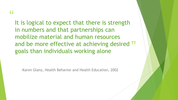#### "

and be more effective at achieving desired ">>>>>>>>> goals than individuals working alone It is logical to expect that there is strength in numbers and that partnerships can mobilize material and human resources goals than individuals working alone

-Karen Glanz, Health Behavior and Health Education, 2002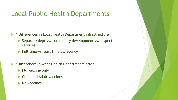### Local Public Health Departments

 $\triangleright$  \* Differences in Local Health Department infrastructure

- Separate dept vs. community development vs. inspectional services
- $\blacktriangleright$  Full time vs. part time vs. agency
- **\*Differences in what Health Departments offer** 
	- $\blacktriangleright$  Flu vaccine only
	- ▶ Child and Adult vaccines
	- $\blacktriangleright$  No vaccines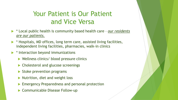### Your Patient is Our Patient and Vice Versa

- \* Local public health is community based health care *our residents are our patients.*
- $\blacktriangleright$  \* Hospitals, MD offices, long term care, assisted living facilities, independent living facilities, pharmacies, walk-in clinics
- $\triangleright$  \* Interaction beyond immunizations
	- Wellness clinics/ blood pressure clinics
	- ▶ Cholesterol and glucose screenings
	- $\triangleright$  Stoke prevention programs
	- $\blacktriangleright$  Nutrition, diet and weight loss
	- **Emergency Preparedness and personal protection**
	- ▶ Communicable Disease Follow-up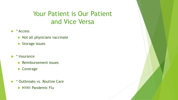## Your Patient is Our Patient and Vice Versa

- $\blacktriangleright$  \* Access
	- $\blacktriangleright$  Not all physicians vaccinate
	- Storage issues
- $\blacktriangleright$   $*$  Insurance
	- $\blacktriangleright$  Reimbursement issues
	- Coverage
- \* Outbreaks vs. Routine Care
	- H1N1 Pandemic Flu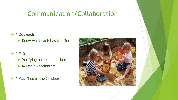#### Communication/Collaboration

#### ▶ \* Outreach

 $\blacktriangleright$  Know what each has to offer

#### \* MIIS

- Verifying past vaccinations
- **Multiple vaccinators**
- \* Play Nice in the Sandbox

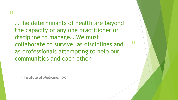"

…The determinants of health are beyond the capacity of any one practitioner or discipline to manage… We must collaborate to survive, as disciplines and as professionals attempting to help our communities and each other.

"

- Institute of Medicine, 1999